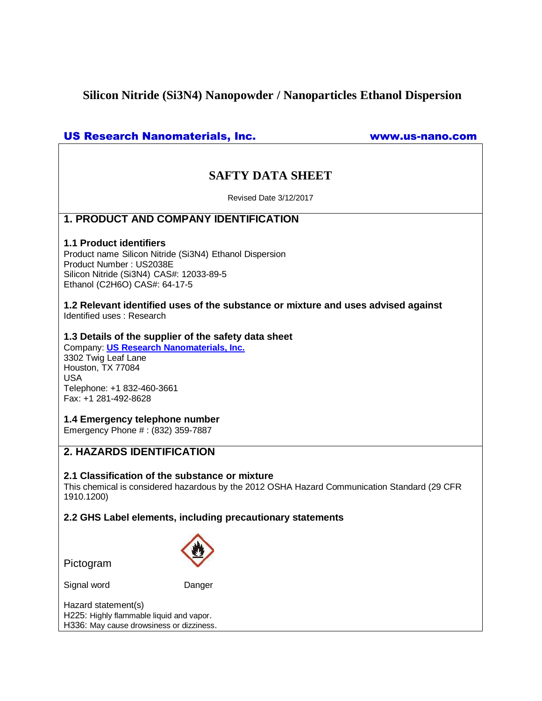# **Silicon Nitride (Si3N4) Nanopowder / Nanoparticles Ethanol Dispersion**

# US Research Nanomaterials, Inc. www.us-nano.com

# **SAFTY DATA SHEET**

Revised Date 3/12/2017

# **1. PRODUCT AND COMPANY IDENTIFICATION**

## **1.1 Product identifiers**

Product name Silicon Nitride (Si3N4) Ethanol Dispersion Product Number : US2038E Silicon Nitride (Si3N4) CAS#: 12033-89-5 Ethanol (C2H6O) CAS#: 64-17-5

**1.2 Relevant identified uses of the substance or mixture and uses advised against** Identified uses : Research

## **1.3 Details of the supplier of the safety data sheet**

Company: **[US Research Nanomaterials, Inc.](http://www.us-nano.com/)** 3302 Twig Leaf Lane Houston, TX 77084 USA Telephone: +1 832-460-3661 Fax: +1 281-492-8628

**1.4 Emergency telephone number**

Emergency Phone # : (832) 359-7887

# **2. HAZARDS IDENTIFICATION**

# **2.1 Classification of the substance or mixture**

This chemical is considered hazardous by the 2012 OSHA Hazard Communication Standard (29 CFR 1910.1200)

**2.2 GHS Label elements, including precautionary statements**

Pictogram

Signal word Danger



Hazard statement(s) H225: Highly flammable liquid and vapor. H336: May cause drowsiness or dizziness.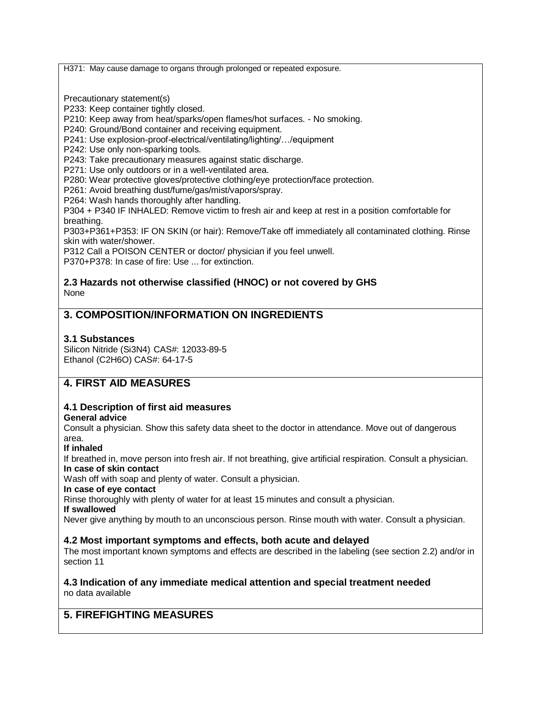H371: May cause damage to organs through prolonged or repeated exposure.

Precautionary statement(s)

P233: Keep container tightly closed.

P210: Keep away from heat/sparks/open flames/hot surfaces. - No smoking.

P240: Ground/Bond container and receiving equipment.

P241: Use explosion-proof-electrical/ventilating/lighting/…/equipment

P242: Use only non-sparking tools.

P243: Take precautionary measures against static discharge.

P271: Use only outdoors or in a well-ventilated area.

P280: Wear protective gloves/protective clothing/eye protection/face protection.

P261: Avoid breathing dust/fume/gas/mist/vapors/spray.

P264: Wash hands thoroughly after handling.

P304 + P340 IF INHALED: Remove victim to fresh air and keep at rest in a position comfortable for breathing.

P303+P361+P353: IF ON SKIN (or hair): Remove/Take off immediately all contaminated clothing. Rinse skin with water/shower.

P312 Call a POISON CENTER or doctor/ physician if you feel unwell.

P370+P378: In case of fire: Use ... for extinction.

### **2.3 Hazards not otherwise classified (HNOC) or not covered by GHS** None

# **3. COMPOSITION/INFORMATION ON INGREDIENTS**

## **3.1 Substances**

Silicon Nitride (Si3N4) CAS#: 12033-89-5 Ethanol (C2H6O) CAS#: 64-17-5

# **4. FIRST AID MEASURES**

# **4.1 Description of first aid measures**

# **General advice**

Consult a physician. Show this safety data sheet to the doctor in attendance. Move out of dangerous area.

### **If inhaled**

If breathed in, move person into fresh air. If not breathing, give artificial respiration. Consult a physician. **In case of skin contact**

Wash off with soap and plenty of water. Consult a physician.

### **In case of eye contact**

Rinse thoroughly with plenty of water for at least 15 minutes and consult a physician.

#### **If swallowed**

Never give anything by mouth to an unconscious person. Rinse mouth with water. Consult a physician.

### **4.2 Most important symptoms and effects, both acute and delayed**

The most important known symptoms and effects are described in the labeling (see section 2.2) and/or in section 11

## **4.3 Indication of any immediate medical attention and special treatment needed** no data available

# **5. FIREFIGHTING MEASURES**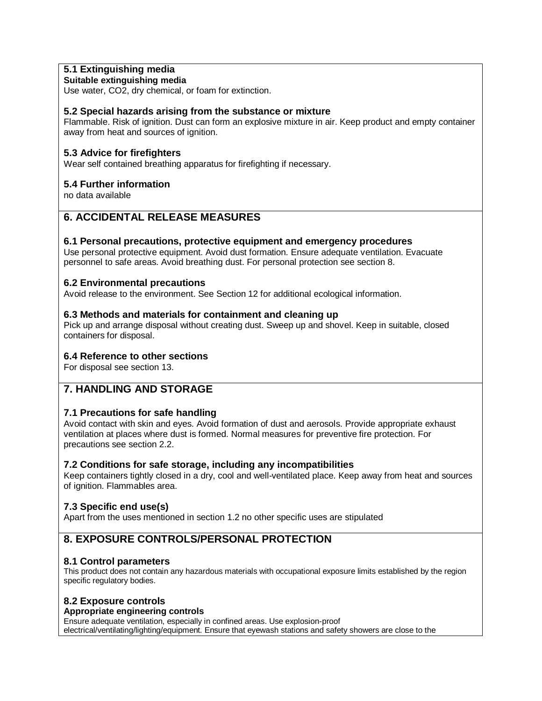# **5.1 Extinguishing media**

### **Suitable extinguishing media**

Use water, CO2, dry chemical, or foam for extinction.

# **5.2 Special hazards arising from the substance or mixture**

Flammable. Risk of ignition. Dust can form an explosive mixture in air. Keep product and empty container away from heat and sources of ignition.

## **5.3 Advice for firefighters**

Wear self contained breathing apparatus for firefighting if necessary.

# **5.4 Further information**

no data available

# **6. ACCIDENTAL RELEASE MEASURES**

### **6.1 Personal precautions, protective equipment and emergency procedures**

Use personal protective equipment. Avoid dust formation. Ensure adequate ventilation. Evacuate personnel to safe areas. Avoid breathing dust. For personal protection see section 8.

### **6.2 Environmental precautions**

Avoid release to the environment. See Section 12 for additional ecological information.

## **6.3 Methods and materials for containment and cleaning up**

Pick up and arrange disposal without creating dust. Sweep up and shovel. Keep in suitable, closed containers for disposal.

### **6.4 Reference to other sections**

For disposal see section 13.

# **7. HANDLING AND STORAGE**

# **7.1 Precautions for safe handling**

Avoid contact with skin and eyes. Avoid formation of dust and aerosols. Provide appropriate exhaust ventilation at places where dust is formed. Normal measures for preventive fire protection. For precautions see section 2.2.

### **7.2 Conditions for safe storage, including any incompatibilities**

Keep containers tightly closed in a dry, cool and well-ventilated place. Keep away from heat and sources of ignition. Flammables area.

# **7.3 Specific end use(s)**

Apart from the uses mentioned in section 1.2 no other specific uses are stipulated

# **8. EXPOSURE CONTROLS/PERSONAL PROTECTION**

# **8.1 Control parameters**

This product does not contain any hazardous materials with occupational exposure limits established by the region specific regulatory bodies.

# **8.2 Exposure controls**

#### **Appropriate engineering controls**

Ensure adequate ventilation, especially in confined areas. Use explosion-proof electrical/ventilating/lighting/equipment. Ensure that eyewash stations and safety showers are close to the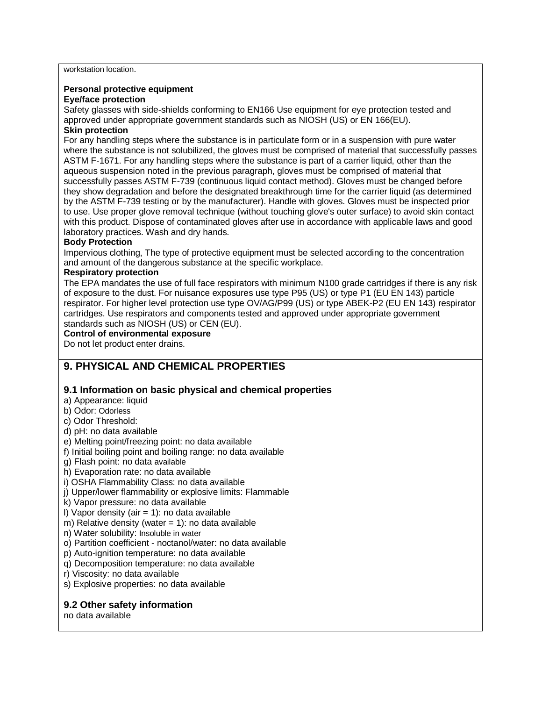workstation location.

#### **Personal protective equipment**

#### **Eye/face protection**

Safety glasses with side-shields conforming to EN166 Use equipment for eye protection tested and approved under appropriate government standards such as NIOSH (US) or EN 166(EU). **Skin protection**

For any handling steps where the substance is in particulate form or in a suspension with pure water where the substance is not solubilized, the gloves must be comprised of material that successfully passes ASTM F-1671. For any handling steps where the substance is part of a carrier liquid, other than the aqueous suspension noted in the previous paragraph, gloves must be comprised of material that successfully passes ASTM F-739 (continuous liquid contact method). Gloves must be changed before they show degradation and before the designated breakthrough time for the carrier liquid (as determined by the ASTM F-739 testing or by the manufacturer). Handle with gloves. Gloves must be inspected prior to use. Use proper glove removal technique (without touching glove's outer surface) to avoid skin contact with this product. Dispose of contaminated gloves after use in accordance with applicable laws and good laboratory practices. Wash and dry hands.

#### **Body Protection**

Impervious clothing, The type of protective equipment must be selected according to the concentration and amount of the dangerous substance at the specific workplace.

#### **Respiratory protection**

The EPA mandates the use of full face respirators with minimum N100 grade cartridges if there is any risk of exposure to the dust. For nuisance exposures use type P95 (US) or type P1 (EU EN 143) particle respirator. For higher level protection use type OV/AG/P99 (US) or type ABEK-P2 (EU EN 143) respirator cartridges. Use respirators and components tested and approved under appropriate government standards such as NIOSH (US) or CEN (EU).

# **Control of environmental exposure**

Do not let product enter drains.

# **9. PHYSICAL AND CHEMICAL PROPERTIES**

# **9.1 Information on basic physical and chemical properties**

- a) Appearance: liquid
- b) Odor: Odorless
- c) Odor Threshold:
- d) pH: no data available
- e) Melting point/freezing point: no data available
- f) Initial boiling point and boiling range: no data available
- g) Flash point: no data available
- h) Evaporation rate: no data available
- i) OSHA Flammability Class: no data available
- j) Upper/lower flammability or explosive limits: Flammable
- k) Vapor pressure: no data available
- I) Vapor density (air  $= 1$ ): no data available
- m) Relative density (water  $= 1$ ): no data available
- n) Water solubility: Insoluble in water
- o) Partition coefficient noctanol/water: no data available
- p) Auto-ignition temperature: no data available
- q) Decomposition temperature: no data available
- r) Viscosity: no data available
- s) Explosive properties: no data available

# **9.2 Other safety information**

no data available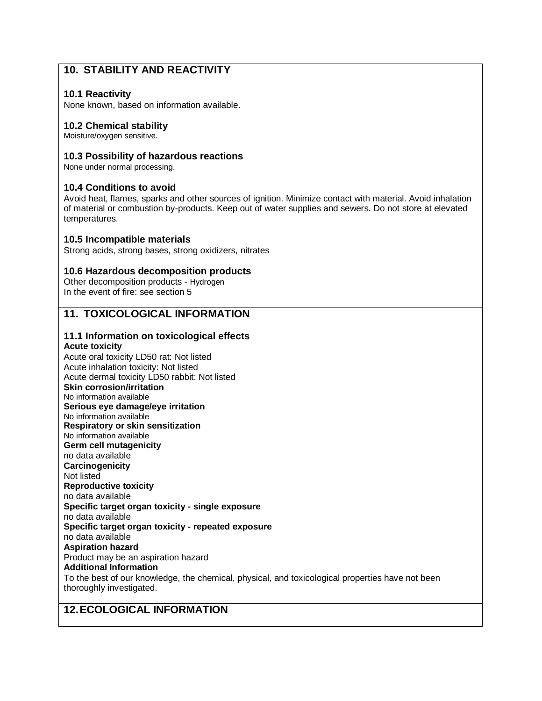# **10. STABILITY AND REACTIVITY**

## **10.1 Reactivity**

None known, based on information available.

### **10.2 Chemical stability**

Moisture/oxygen sensitive.

### **10.3 Possibility of hazardous reactions**

None under normal processing.

#### **10.4 Conditions to avoid**

Avoid heat, flames, sparks and other sources of ignition. Minimize contact with material. Avoid inhalation of material or combustion by-products. Keep out of water supplies and sewers. Do not store at elevated temperatures.

#### **10.5 Incompatible materials**

Strong acids, strong bases, strong oxidizers, nitrates

#### **10.6 Hazardous decomposition products**

Other decomposition products - Hydrogen In the event of fire: see section 5

# **11. TOXICOLOGICAL INFORMATION**

# **11.1 Information on toxicological effects**

**Acute toxicity**

Acute oral toxicity LD50 rat: Not listed Acute inhalation toxicity: Not listed Acute dermal toxicity LD50 rabbit: Not listed **Skin corrosion/irritation** No information available **Serious eye damage/eye irritation** No information available **Respiratory or skin sensitization** No information available **Germ cell mutagenicity** no data available **Carcinogenicity** Not listed **Reproductive toxicity** no data available **Specific target organ toxicity - single exposure** no data available **Specific target organ toxicity - repeated exposure** no data available **Aspiration hazard** Product may be an aspiration hazard **Additional Information** To the best of our knowledge, the chemical, physical, and toxicological properties have not been thoroughly investigated.

# **12.ECOLOGICAL INFORMATION**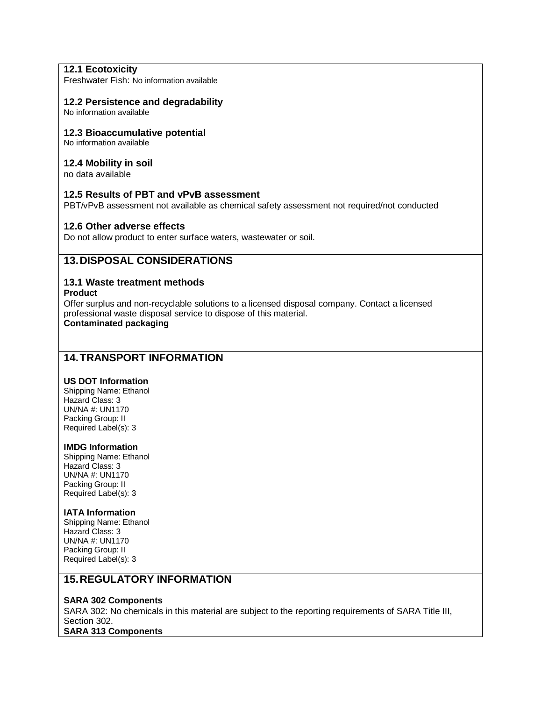# **12.1 Ecotoxicity**

Freshwater Fish: No information available

#### **12.2 Persistence and degradability**

No information available

#### **12.3 Bioaccumulative potential**

No information available

#### **12.4 Mobility in soil**

no data available

#### **12.5 Results of PBT and vPvB assessment**

PBT/vPvB assessment not available as chemical safety assessment not required/not conducted

#### **12.6 Other adverse effects**

Do not allow product to enter surface waters, wastewater or soil.

# **13.DISPOSAL CONSIDERATIONS**

### **13.1 Waste treatment methods**

#### **Product**

Offer surplus and non-recyclable solutions to a licensed disposal company. Contact a licensed professional waste disposal service to dispose of this material.

**Contaminated packaging**

# **14.TRANSPORT INFORMATION**

#### **US DOT Information**

Shipping Name: Ethanol Hazard Class: 3 UN/NA #: UN1170 Packing Group: II Required Label(s): 3

#### **IMDG Information**

Shipping Name: Ethanol Hazard Class: 3 UN/NA #: UN1170 Packing Group: II Required Label(s): 3

#### **IATA Information**

Shipping Name: Ethanol Hazard Class: 3 UN/NA #: UN1170 Packing Group: II Required Label(s): 3

# **15.REGULATORY INFORMATION**

#### **SARA 302 Components**

SARA 302: No chemicals in this material are subject to the reporting requirements of SARA Title III, Section 302. **SARA 313 Components**